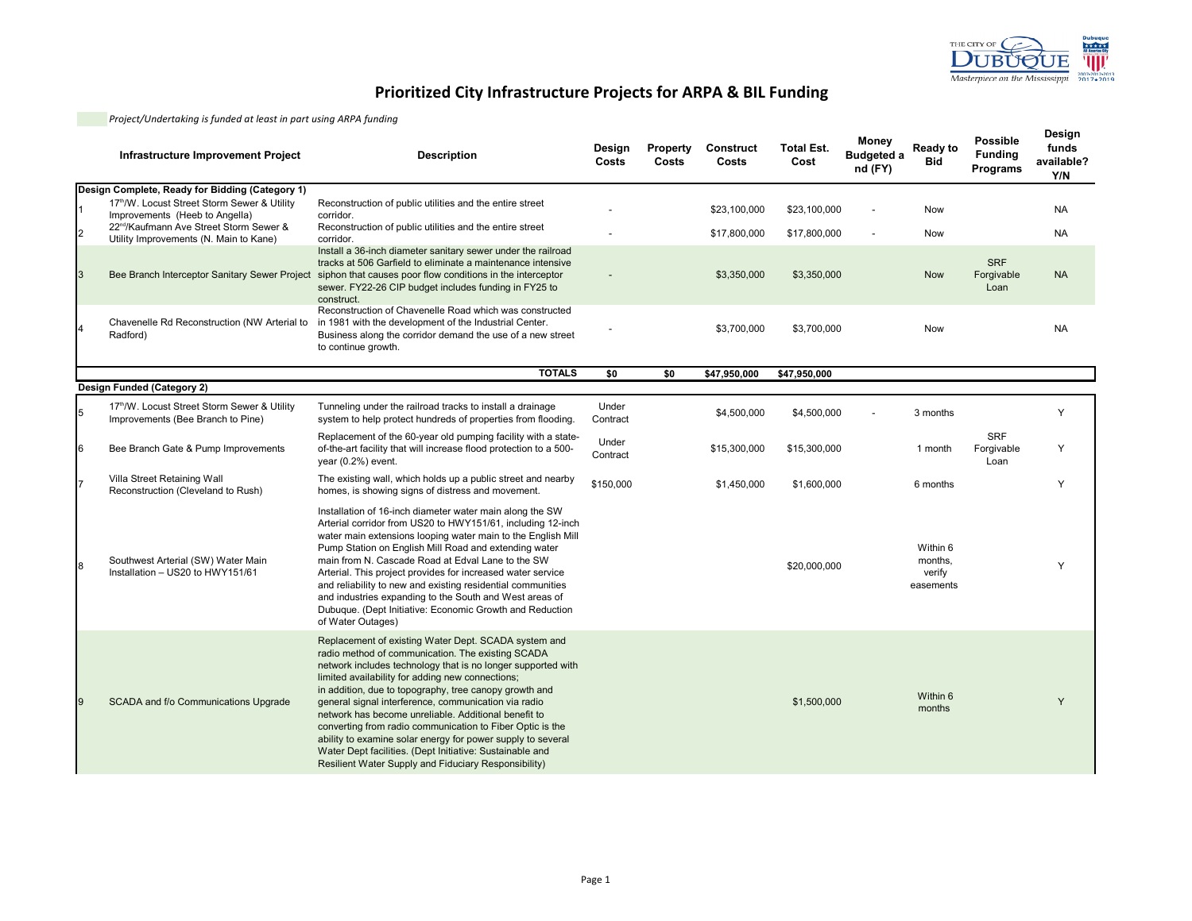

|   | Infrastructure Improvement Project                                                            | <b>Description</b>                                                                                                                                                                                                                                                                                                                                                                                                                                                                                                                                                                                                                                      | Design<br>Costs   | Property<br>Costs | Construct<br>Costs | <b>Total Est.</b><br>Cost | <b>Money</b><br><b>Budgeted a</b><br>nd (FY) | Ready to<br><b>Bid</b>                     | <b>Possible</b><br><b>Funding</b><br>Programs | Design<br>funds<br>available?<br>Y/N |
|---|-----------------------------------------------------------------------------------------------|---------------------------------------------------------------------------------------------------------------------------------------------------------------------------------------------------------------------------------------------------------------------------------------------------------------------------------------------------------------------------------------------------------------------------------------------------------------------------------------------------------------------------------------------------------------------------------------------------------------------------------------------------------|-------------------|-------------------|--------------------|---------------------------|----------------------------------------------|--------------------------------------------|-----------------------------------------------|--------------------------------------|
|   | Design Complete, Ready for Bidding (Category 1)                                               |                                                                                                                                                                                                                                                                                                                                                                                                                                                                                                                                                                                                                                                         |                   |                   |                    |                           |                                              |                                            |                                               |                                      |
|   | 17th/W. Locust Street Storm Sewer & Utility<br>Improvements (Heeb to Angella)                 | Reconstruction of public utilities and the entire street<br>corridor.                                                                                                                                                                                                                                                                                                                                                                                                                                                                                                                                                                                   |                   |                   | \$23,100,000       | \$23,100,000              |                                              | <b>Now</b>                                 |                                               | <b>NA</b>                            |
|   | 22 <sup>nd</sup> /Kaufmann Ave Street Storm Sewer &<br>Utility Improvements (N. Main to Kane) | Reconstruction of public utilities and the entire street<br>corridor.                                                                                                                                                                                                                                                                                                                                                                                                                                                                                                                                                                                   |                   |                   | \$17,800,000       | \$17,800,000              |                                              | <b>Now</b>                                 |                                               | <b>NA</b>                            |
| 3 |                                                                                               | Install a 36-inch diameter sanitary sewer under the railroad<br>tracks at 506 Garfield to eliminate a maintenance intensive<br>Bee Branch Interceptor Sanitary Sewer Project siphon that causes poor flow conditions in the interceptor<br>sewer. FY22-26 CIP budget includes funding in FY25 to<br>construct.                                                                                                                                                                                                                                                                                                                                          |                   |                   | \$3,350,000        | \$3,350,000               |                                              | <b>Now</b>                                 | <b>SRF</b><br>Forgivable<br>Loan              | <b>NA</b>                            |
|   | Chavenelle Rd Reconstruction (NW Arterial to<br>Radford)                                      | Reconstruction of Chavenelle Road which was constructed<br>in 1981 with the development of the Industrial Center.<br>Business along the corridor demand the use of a new street<br>to continue growth.                                                                                                                                                                                                                                                                                                                                                                                                                                                  |                   |                   | \$3,700,000        | \$3,700,000               |                                              | Now                                        |                                               | <b>NA</b>                            |
|   |                                                                                               | <b>TOTALS</b>                                                                                                                                                                                                                                                                                                                                                                                                                                                                                                                                                                                                                                           | \$0               | \$0               | \$47,950,000       | \$47,950,000              |                                              |                                            |                                               |                                      |
|   | Design Funded (Category 2)                                                                    |                                                                                                                                                                                                                                                                                                                                                                                                                                                                                                                                                                                                                                                         |                   |                   |                    |                           |                                              |                                            |                                               |                                      |
| 5 | 17th/W. Locust Street Storm Sewer & Utility<br>Improvements (Bee Branch to Pine)              | Tunneling under the railroad tracks to install a drainage<br>system to help protect hundreds of properties from flooding.                                                                                                                                                                                                                                                                                                                                                                                                                                                                                                                               | Under<br>Contract |                   | \$4,500,000        | \$4,500,000               |                                              | 3 months                                   |                                               | Y                                    |
| 6 | Bee Branch Gate & Pump Improvements                                                           | Replacement of the 60-year old pumping facility with a state-<br>of-the-art facility that will increase flood protection to a 500-<br>year (0.2%) event.                                                                                                                                                                                                                                                                                                                                                                                                                                                                                                | Under<br>Contract |                   | \$15,300,000       | \$15,300,000              |                                              | 1 month                                    | <b>SRF</b><br>Forgivable<br>Loan              | Y                                    |
|   | Villa Street Retaining Wall<br>Reconstruction (Cleveland to Rush)                             | The existing wall, which holds up a public street and nearby<br>homes, is showing signs of distress and movement.                                                                                                                                                                                                                                                                                                                                                                                                                                                                                                                                       | \$150,000         |                   | \$1,450,000        | \$1,600,000               |                                              | 6 months                                   |                                               | Y                                    |
| 8 | Southwest Arterial (SW) Water Main<br>Installation - US20 to HWY151/61                        | Installation of 16-inch diameter water main along the SW<br>Arterial corridor from US20 to HWY151/61, including 12-inch<br>water main extensions looping water main to the English Mill<br>Pump Station on English Mill Road and extending water<br>main from N. Cascade Road at Edval Lane to the SW<br>Arterial. This project provides for increased water service<br>and reliability to new and existing residential communities<br>and industries expanding to the South and West areas of<br>Dubuque. (Dept Initiative: Economic Growth and Reduction<br>of Water Outages)                                                                         |                   |                   |                    | \$20,000,000              |                                              | Within 6<br>months,<br>verify<br>easements |                                               | Υ                                    |
| 9 | SCADA and f/o Communications Upgrade                                                          | Replacement of existing Water Dept. SCADA system and<br>radio method of communication. The existing SCADA<br>network includes technology that is no longer supported with<br>limited availability for adding new connections;<br>in addition, due to topography, tree canopy growth and<br>general signal interference, communication via radio<br>network has become unreliable. Additional benefit to<br>converting from radio communication to Fiber Optic is the<br>ability to examine solar energy for power supply to several<br>Water Dept facilities. (Dept Initiative: Sustainable and<br>Resilient Water Supply and Fiduciary Responsibility) |                   |                   |                    | \$1,500,000               |                                              | Within 6<br>months                         |                                               | Y                                    |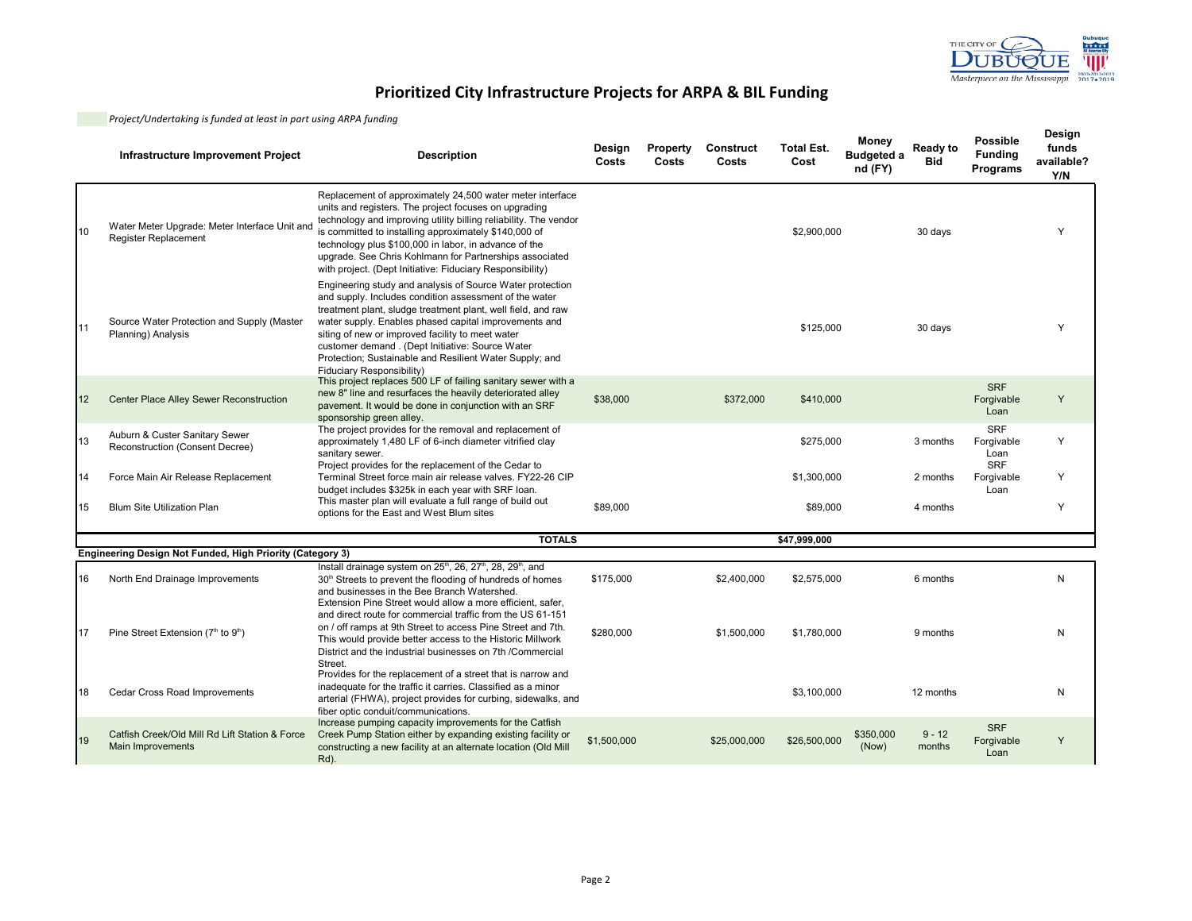

|    | Infrastructure Improvement Project                                    | <b>Description</b>                                                                                                                                                                                                                                                                                                                                                                                                                           | Design<br>Costs | Property<br>Costs | Construct<br>Costs | <b>Total Est.</b><br>Cost | Money<br><b>Budgeted a</b><br>nd (FY) | <b>Ready to</b><br><b>Bid</b> | <b>Possible</b><br><b>Funding</b><br>Programs | Design<br>funds<br>available?<br>Y/N |
|----|-----------------------------------------------------------------------|----------------------------------------------------------------------------------------------------------------------------------------------------------------------------------------------------------------------------------------------------------------------------------------------------------------------------------------------------------------------------------------------------------------------------------------------|-----------------|-------------------|--------------------|---------------------------|---------------------------------------|-------------------------------|-----------------------------------------------|--------------------------------------|
| 10 | Water Meter Upgrade: Meter Interface Unit and<br>Register Replacement | Replacement of approximately 24,500 water meter interface<br>units and registers. The project focuses on upgrading<br>technology and improving utility billing reliability. The vendor<br>is committed to installing approximately \$140,000 of<br>technology plus \$100,000 in labor, in advance of the<br>upgrade. See Chris Kohlmann for Partnerships associated<br>with project. (Dept Initiative: Fiduciary Responsibility)             |                 |                   |                    | \$2,900,000               |                                       | 30 days                       |                                               | Υ                                    |
| 11 | Source Water Protection and Supply (Master<br>Planning) Analysis      | Engineering study and analysis of Source Water protection<br>and supply. Includes condition assessment of the water<br>treatment plant, sludge treatment plant, well field, and raw<br>water supply. Enables phased capital improvements and<br>siting of new or improved facility to meet water<br>customer demand . (Dept Initiative: Source Water<br>Protection; Sustainable and Resilient Water Supply; and<br>Fiduciary Responsibility) |                 |                   |                    | \$125,000                 |                                       | 30 days                       |                                               | Y                                    |
| 12 | <b>Center Place Alley Sewer Reconstruction</b>                        | This project replaces 500 LF of failing sanitary sewer with a<br>new 8" line and resurfaces the heavily deteriorated alley<br>pavement. It would be done in conjunction with an SRF<br>sponsorship green alley.                                                                                                                                                                                                                              | \$38,000        |                   | \$372,000          | \$410,000                 |                                       |                               | <b>SRF</b><br>Forgivable<br>Loan              | Y                                    |
| 13 | Auburn & Custer Sanitary Sewer<br>Reconstruction (Consent Decree)     | The project provides for the removal and replacement of<br>approximately 1,480 LF of 6-inch diameter vitrified clay<br>sanitary sewer.                                                                                                                                                                                                                                                                                                       |                 |                   |                    | \$275,000                 |                                       | 3 months                      | <b>SRF</b><br>Forgivable<br>Loan              | Y                                    |
| 14 | Force Main Air Release Replacement                                    | Project provides for the replacement of the Cedar to<br>Terminal Street force main air release valves. FY22-26 CIP<br>budget includes \$325k in each year with SRF loan.                                                                                                                                                                                                                                                                     |                 |                   |                    | \$1,300,000               |                                       | 2 months                      | <b>SRF</b><br>Forgivable<br>Loan              | Y                                    |
| 15 | <b>Blum Site Utilization Plan</b>                                     | This master plan will evaluate a full range of build out<br>options for the East and West Blum sites                                                                                                                                                                                                                                                                                                                                         | \$89,000        |                   |                    | \$89,000                  |                                       | 4 months                      |                                               | Y                                    |
|    |                                                                       | <b>TOTALS</b>                                                                                                                                                                                                                                                                                                                                                                                                                                |                 |                   |                    | \$47,999,000              |                                       |                               |                                               |                                      |
|    | Engineering Design Not Funded, High Priority (Category 3)             |                                                                                                                                                                                                                                                                                                                                                                                                                                              |                 |                   |                    |                           |                                       |                               |                                               |                                      |
| 16 | North End Drainage Improvements                                       | Install drainage system on 25 <sup>th</sup> , 26, 27 <sup>th</sup> , 28, 29 <sup>th</sup> , and<br>30 <sup>th</sup> Streets to prevent the flooding of hundreds of homes<br>and businesses in the Bee Branch Watershed.<br>Extension Pine Street would allow a more efficient, safer.                                                                                                                                                        | \$175,000       |                   | \$2,400,000        | \$2,575,000               |                                       | 6 months                      |                                               | N                                    |
| 17 | Pine Street Extension (7th to 9th)                                    | and direct route for commercial traffic from the US 61-151<br>on / off ramps at 9th Street to access Pine Street and 7th.<br>This would provide better access to the Historic Millwork<br>District and the industrial businesses on 7th /Commercial<br>Street.                                                                                                                                                                               | \$280,000       |                   | \$1,500,000        | \$1,780,000               |                                       | 9 months                      |                                               | N                                    |
| 18 | <b>Cedar Cross Road Improvements</b>                                  | Provides for the replacement of a street that is narrow and<br>inadequate for the traffic it carries. Classified as a minor<br>arterial (FHWA), project provides for curbing, sidewalks, and<br>fiber optic conduit/communications.                                                                                                                                                                                                          |                 |                   |                    | \$3,100,000               |                                       | 12 months                     |                                               | N                                    |
| 19 | Catfish Creek/Old Mill Rd Lift Station & Force<br>Main Improvements   | Increase pumping capacity improvements for the Catfish<br>Creek Pump Station either by expanding existing facility or<br>constructing a new facility at an alternate location (Old Mill<br>Rd).                                                                                                                                                                                                                                              | \$1,500,000     |                   | \$25,000,000       | \$26,500,000              | \$350,000<br>(Now)                    | $9 - 12$<br>months            | <b>SRF</b><br>Forgivable<br>Loan              | Y                                    |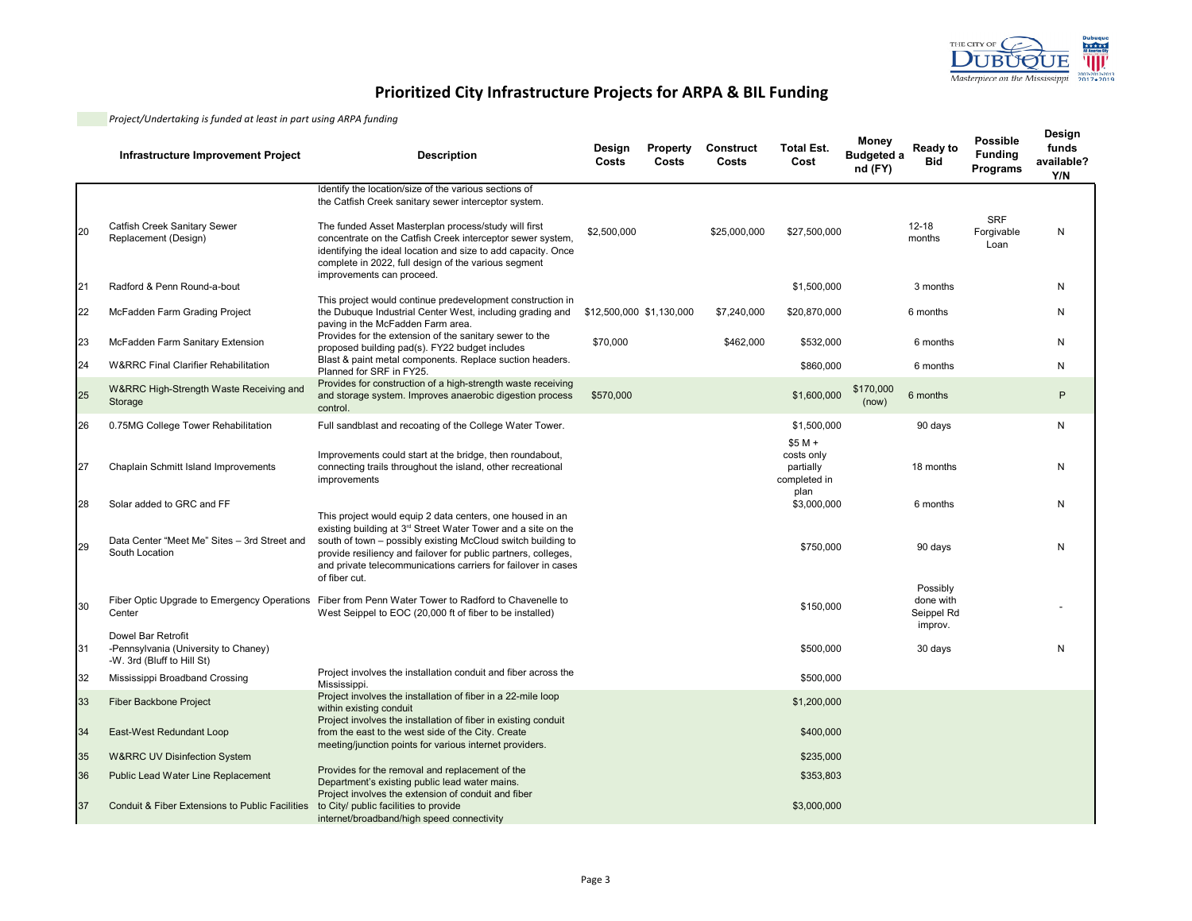

|    | Infrastructure Improvement Project                                                       | <b>Description</b>                                                                                                                                                                                                                                                                                                                             | Design<br>Costs          | Property<br>Costs | Construct<br>Costs | <b>Total Est.</b><br>Cost                           | Money<br><b>Budgeted a</b><br>nd (FY) | Ready to<br><b>Bid</b>                         | <b>Possible</b><br><b>Funding</b><br>Programs | Design<br>funds<br>available?<br>Y/N |
|----|------------------------------------------------------------------------------------------|------------------------------------------------------------------------------------------------------------------------------------------------------------------------------------------------------------------------------------------------------------------------------------------------------------------------------------------------|--------------------------|-------------------|--------------------|-----------------------------------------------------|---------------------------------------|------------------------------------------------|-----------------------------------------------|--------------------------------------|
|    |                                                                                          | Identify the location/size of the various sections of<br>the Catfish Creek sanitary sewer interceptor system.                                                                                                                                                                                                                                  |                          |                   |                    |                                                     |                                       |                                                |                                               |                                      |
| 20 | Catfish Creek Sanitary Sewer<br>Replacement (Design)                                     | The funded Asset Masterplan process/study will first<br>concentrate on the Catfish Creek interceptor sewer system,<br>identifying the ideal location and size to add capacity. Once<br>complete in 2022, full design of the various segment                                                                                                    | \$2,500,000              |                   | \$25,000,000       | \$27,500,000                                        |                                       | $12 - 18$<br>months                            | <b>SRF</b><br>Forgivable<br>Loan              | N                                    |
| 21 | Radford & Penn Round-a-bout                                                              | improvements can proceed.                                                                                                                                                                                                                                                                                                                      |                          |                   |                    | \$1,500,000                                         |                                       | 3 months                                       |                                               | N                                    |
| 22 | McFadden Farm Grading Project                                                            | This project would continue predevelopment construction in<br>the Dubuque Industrial Center West, including grading and<br>paving in the McFadden Farm area.                                                                                                                                                                                   | \$12,500,000 \$1,130,000 |                   | \$7,240,000        | \$20,870,000                                        |                                       | 6 months                                       |                                               | N                                    |
| 23 | McFadden Farm Sanitary Extension                                                         | Provides for the extension of the sanitary sewer to the<br>proposed building pad(s). FY22 budget includes                                                                                                                                                                                                                                      | \$70,000                 |                   | \$462,000          | \$532,000                                           |                                       | 6 months                                       |                                               | N                                    |
| 24 | <b>W&amp;RRC Final Clarifier Rehabilitation</b>                                          | Blast & paint metal components. Replace suction headers.<br>Planned for SRF in FY25.                                                                                                                                                                                                                                                           |                          |                   |                    | \$860,000                                           |                                       | 6 months                                       |                                               | N                                    |
| 25 | W&RRC High-Strength Waste Receiving and<br>Storage                                       | Provides for construction of a high-strength waste receiving<br>and storage system. Improves anaerobic digestion process<br>control.                                                                                                                                                                                                           | \$570,000                |                   |                    | \$1,600,000                                         | \$170,000<br>(now)                    | 6 months                                       |                                               | P                                    |
| 26 | 0.75MG College Tower Rehabilitation                                                      | Full sandblast and recoating of the College Water Tower.                                                                                                                                                                                                                                                                                       |                          |                   |                    | \$1,500,000                                         |                                       | 90 days                                        |                                               | N                                    |
| 27 | Chaplain Schmitt Island Improvements                                                     | Improvements could start at the bridge, then roundabout,<br>connecting trails throughout the island, other recreational<br>improvements                                                                                                                                                                                                        |                          |                   |                    | $$5 M +$<br>costs only<br>partially<br>completed in |                                       | 18 months                                      |                                               | N                                    |
| 28 | Solar added to GRC and FF                                                                |                                                                                                                                                                                                                                                                                                                                                |                          |                   |                    | plan<br>\$3,000,000                                 |                                       | 6 months                                       |                                               | N                                    |
| 29 | Data Center "Meet Me" Sites - 3rd Street and<br>South Location                           | This project would equip 2 data centers, one housed in an<br>existing building at 3rd Street Water Tower and a site on the<br>south of town – possibly existing McCloud switch building to<br>provide resiliency and failover for public partners, colleges,<br>and private telecommunications carriers for failover in cases<br>of fiber cut. |                          |                   |                    | \$750,000                                           |                                       | 90 days                                        |                                               | N                                    |
| 30 | Center                                                                                   | Fiber Optic Upgrade to Emergency Operations Fiber from Penn Water Tower to Radford to Chavenelle to<br>West Seippel to EOC (20,000 ft of fiber to be installed)                                                                                                                                                                                |                          |                   |                    | \$150,000                                           |                                       | Possibly<br>done with<br>Seippel Rd<br>improv. |                                               |                                      |
| 31 | Dowel Bar Retrofit<br>-Pennsylvania (University to Chaney)<br>-W. 3rd (Bluff to Hill St) |                                                                                                                                                                                                                                                                                                                                                |                          |                   |                    | \$500,000                                           |                                       | 30 days                                        |                                               | N                                    |
| 32 | Mississippi Broadband Crossing                                                           | Project involves the installation conduit and fiber across the<br>Mississippi.                                                                                                                                                                                                                                                                 |                          |                   |                    | \$500,000                                           |                                       |                                                |                                               |                                      |
| 33 | Fiber Backbone Project                                                                   | Project involves the installation of fiber in a 22-mile loop<br>within existing conduit                                                                                                                                                                                                                                                        |                          |                   |                    | \$1,200,000                                         |                                       |                                                |                                               |                                      |
| 34 | East-West Redundant Loop                                                                 | Project involves the installation of fiber in existing conduit<br>from the east to the west side of the City. Create<br>meeting/junction points for various internet providers.                                                                                                                                                                |                          |                   |                    | \$400,000                                           |                                       |                                                |                                               |                                      |
| 35 | <b>W&amp;RRC UV Disinfection System</b>                                                  |                                                                                                                                                                                                                                                                                                                                                |                          |                   |                    | \$235,000                                           |                                       |                                                |                                               |                                      |
| 36 | <b>Public Lead Water Line Replacement</b>                                                | Provides for the removal and replacement of the<br>Department's existing public lead water mains.<br>Project involves the extension of conduit and fiber                                                                                                                                                                                       |                          |                   |                    | \$353,803                                           |                                       |                                                |                                               |                                      |
| 37 | Conduit & Fiber Extensions to Public Facilities                                          | to City/ public facilities to provide<br>internet/broadband/high speed connectivity                                                                                                                                                                                                                                                            |                          |                   |                    | \$3,000,000                                         |                                       |                                                |                                               |                                      |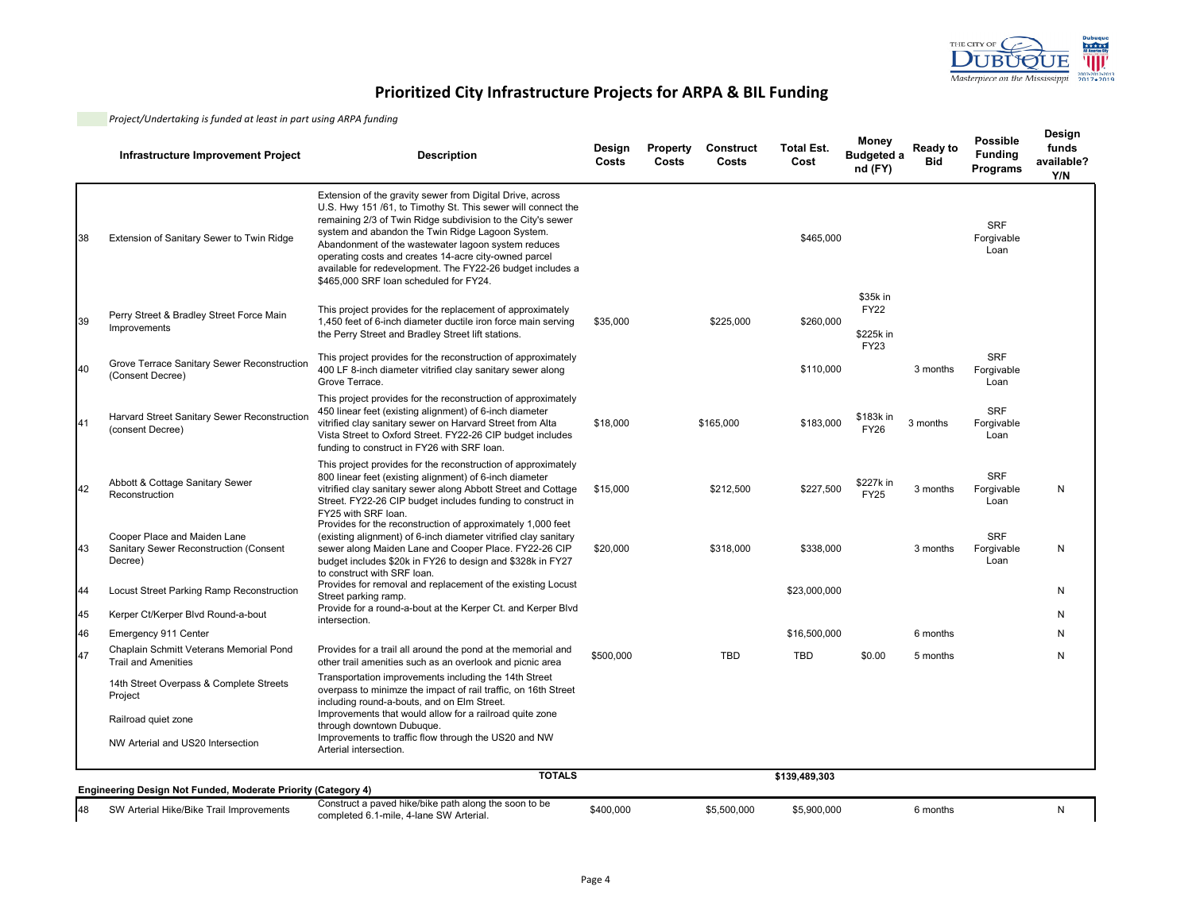

|    | Infrastructure Improvement Project                                                | <b>Description</b>                                                                                                                                                                                                                                                                                                                                                                                                                                                   | Design<br>Costs | <b>Property</b><br>Costs | <b>Construct</b><br>Costs | <b>Total Est.</b><br>Cost | Money<br><b>Budgeted a</b><br>nd (FY)               | Ready to<br><b>Bid</b> | <b>Possible</b><br><b>Funding</b><br>Programs | Design<br>funds<br>available?<br>Y/N |
|----|-----------------------------------------------------------------------------------|----------------------------------------------------------------------------------------------------------------------------------------------------------------------------------------------------------------------------------------------------------------------------------------------------------------------------------------------------------------------------------------------------------------------------------------------------------------------|-----------------|--------------------------|---------------------------|---------------------------|-----------------------------------------------------|------------------------|-----------------------------------------------|--------------------------------------|
| 38 | Extension of Sanitary Sewer to Twin Ridge                                         | Extension of the gravity sewer from Digital Drive, across<br>U.S. Hwy 151 /61, to Timothy St. This sewer will connect the<br>remaining 2/3 of Twin Ridge subdivision to the City's sewer<br>system and abandon the Twin Ridge Lagoon System.<br>Abandonment of the wastewater lagoon system reduces<br>operating costs and creates 14-acre city-owned parcel<br>available for redevelopment. The FY22-26 budget includes a<br>\$465,000 SRF loan scheduled for FY24. |                 |                          |                           | \$465,000                 |                                                     |                        | <b>SRF</b><br>Forgivable<br>Loan              |                                      |
| 39 | Perry Street & Bradley Street Force Main<br>Improvements                          | This project provides for the replacement of approximately<br>1,450 feet of 6-inch diameter ductile iron force main serving<br>the Perry Street and Bradley Street lift stations.                                                                                                                                                                                                                                                                                    | \$35,000        |                          | \$225,000                 | \$260.000                 | \$35k in<br><b>FY22</b><br>\$225k in<br><b>FY23</b> |                        |                                               |                                      |
| 40 | Grove Terrace Sanitary Sewer Reconstruction<br>(Consent Decree)                   | This project provides for the reconstruction of approximately<br>400 LF 8-inch diameter vitrified clay sanitary sewer along<br>Grove Terrace.                                                                                                                                                                                                                                                                                                                        |                 |                          |                           | \$110,000                 |                                                     | 3 months               | <b>SRF</b><br>Forgivable<br>Loan              |                                      |
| 41 | Harvard Street Sanitary Sewer Reconstruction<br>(consent Decree)                  | This project provides for the reconstruction of approximately<br>450 linear feet (existing alignment) of 6-inch diameter<br>vitrified clay sanitary sewer on Harvard Street from Alta<br>Vista Street to Oxford Street. FY22-26 CIP budget includes<br>funding to construct in FY26 with SRF loan.                                                                                                                                                                   | \$18,000        |                          | \$165,000                 | \$183,000                 | \$183k in<br><b>FY26</b>                            | 3 months               | <b>SRF</b><br>Forgivable<br>Loan              |                                      |
| 42 | Abbott & Cottage Sanitary Sewer<br>Reconstruction                                 | This project provides for the reconstruction of approximately<br>800 linear feet (existing alignment) of 6-inch diameter<br>vitrified clay sanitary sewer along Abbott Street and Cottage<br>Street. FY22-26 CIP budget includes funding to construct in<br>FY25 with SRF loan.                                                                                                                                                                                      | \$15,000        |                          | \$212,500                 | \$227,500                 | \$227k in<br><b>FY25</b>                            | 3 months               | <b>SRF</b><br>Forgivable<br>Loan              | N                                    |
| 43 | Cooper Place and Maiden Lane<br>Sanitary Sewer Reconstruction (Consent<br>Decree) | Provides for the reconstruction of approximately 1,000 feet<br>(existing alignment) of 6-inch diameter vitrified clay sanitary<br>sewer along Maiden Lane and Cooper Place. FY22-26 CIP<br>budget includes \$20k in FY26 to design and \$328k in FY27<br>to construct with SRF loan.                                                                                                                                                                                 | \$20,000        |                          | \$318,000                 | \$338,000                 |                                                     | 3 months               | <b>SRF</b><br>Forgivable<br>Loan              | N                                    |
| 44 | Locust Street Parking Ramp Reconstruction                                         | Provides for removal and replacement of the existing Locust<br>Street parking ramp.                                                                                                                                                                                                                                                                                                                                                                                  |                 |                          |                           | \$23,000,000              |                                                     |                        |                                               | N                                    |
| 45 | Kerper Ct/Kerper Blvd Round-a-bout                                                | Provide for a round-a-bout at the Kerper Ct. and Kerper Blvd<br>intersection.                                                                                                                                                                                                                                                                                                                                                                                        |                 |                          |                           |                           |                                                     |                        |                                               | N                                    |
| 46 | Emergency 911 Center                                                              |                                                                                                                                                                                                                                                                                                                                                                                                                                                                      |                 |                          |                           | \$16,500,000              |                                                     | 6 months               |                                               | N                                    |
| 47 | Chaplain Schmitt Veterans Memorial Pond<br><b>Trail and Amenities</b>             | Provides for a trail all around the pond at the memorial and<br>other trail amenities such as an overlook and picnic area                                                                                                                                                                                                                                                                                                                                            | \$500,000       |                          | <b>TBD</b>                | <b>TBD</b>                | \$0.00                                              | 5 months               |                                               | N                                    |
|    | 14th Street Overpass & Complete Streets<br>Project                                | Transportation improvements including the 14th Street<br>overpass to minimze the impact of rail traffic, on 16th Street<br>including round-a-bouts, and on Elm Street.                                                                                                                                                                                                                                                                                               |                 |                          |                           |                           |                                                     |                        |                                               |                                      |
|    | Railroad quiet zone                                                               | Improvements that would allow for a railroad quite zone<br>through downtown Dubuque.                                                                                                                                                                                                                                                                                                                                                                                 |                 |                          |                           |                           |                                                     |                        |                                               |                                      |
|    | NW Arterial and US20 Intersection                                                 | Improvements to traffic flow through the US20 and NW<br>Arterial intersection.                                                                                                                                                                                                                                                                                                                                                                                       |                 |                          |                           |                           |                                                     |                        |                                               |                                      |
|    |                                                                                   | <b>TOTALS</b>                                                                                                                                                                                                                                                                                                                                                                                                                                                        |                 |                          |                           | \$139,489,303             |                                                     |                        |                                               |                                      |
|    | Engineering Design Not Funded, Moderate Priority (Category 4)                     |                                                                                                                                                                                                                                                                                                                                                                                                                                                                      |                 |                          |                           |                           |                                                     |                        |                                               |                                      |
| 48 | SW Arterial Hike/Bike Trail Improvements                                          | Construct a paved hike/bike path along the soon to be<br>completed 6.1-mile, 4-lane SW Arterial.                                                                                                                                                                                                                                                                                                                                                                     | \$400,000       |                          | \$5,500,000               | \$5,900,000               |                                                     | 6 months               |                                               | N                                    |